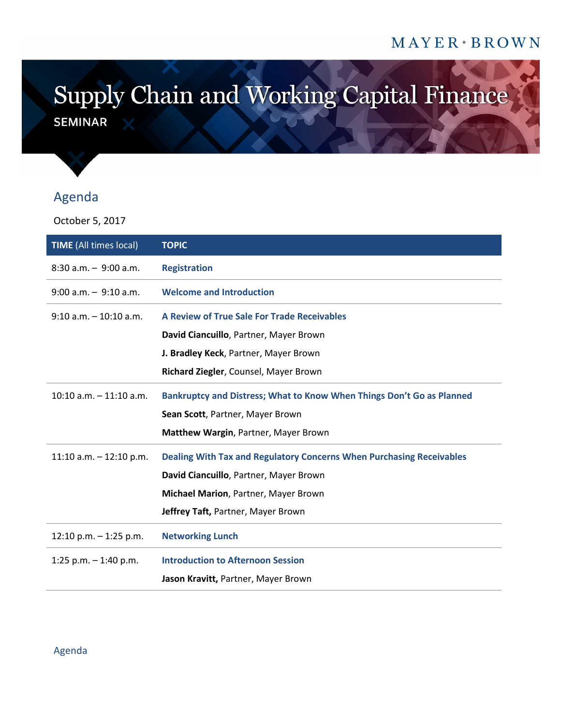## MAYER + BROWN

## Supply Chain and Working Capital Finance **SEMINAR**

## Agenda

October 5, 2017

| <b>TIME</b> (All times local) | <b>TOPIC</b>                                                          |
|-------------------------------|-----------------------------------------------------------------------|
| $8:30$ a.m. $-9:00$ a.m.      | <b>Registration</b>                                                   |
| $9:00$ a.m. $-9:10$ a.m.      | <b>Welcome and Introduction</b>                                       |
| $9:10$ a.m. $-10:10$ a.m.     | A Review of True Sale For Trade Receivables                           |
|                               | David Ciancuillo, Partner, Mayer Brown                                |
|                               | J. Bradley Keck, Partner, Mayer Brown                                 |
|                               | Richard Ziegler, Counsel, Mayer Brown                                 |
| $10:10$ a.m. $-11:10$ a.m.    | Bankruptcy and Distress; What to Know When Things Don't Go as Planned |
|                               | Sean Scott, Partner, Mayer Brown                                      |
|                               | Matthew Wargin, Partner, Mayer Brown                                  |
| 11:10 a.m. $-$ 12:10 p.m.     | Dealing With Tax and Regulatory Concerns When Purchasing Receivables  |
|                               | David Ciancuillo, Partner, Mayer Brown                                |
|                               | Michael Marion, Partner, Mayer Brown                                  |
|                               | Jeffrey Taft, Partner, Mayer Brown                                    |
| 12:10 p.m. $-$ 1:25 p.m.      | <b>Networking Lunch</b>                                               |
| 1:25 p.m. $-$ 1:40 p.m.       | <b>Introduction to Afternoon Session</b>                              |
|                               | Jason Kravitt, Partner, Mayer Brown                                   |